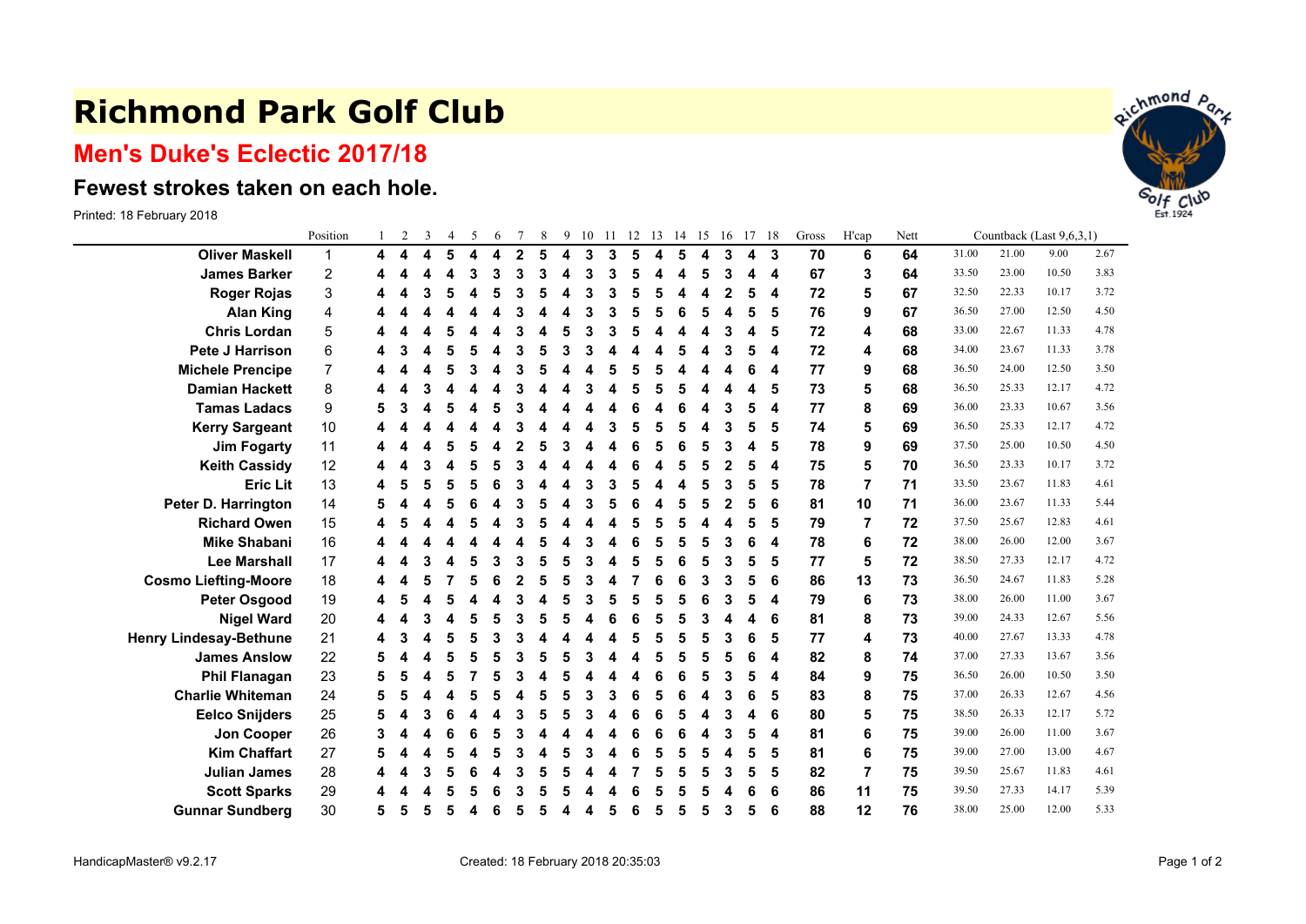## **Richmond Park Golf Club**

## **Men's Duke's Eclectic 2017/18**

## **Fewest strokes taken on each hole.**

Printed: 18 February 2018

|                               | Position                |   | $\overline{c}$ | 3 | $\overline{4}$ | 5 | 6 |                | 8 | 9 | 10 | <sup>11</sup> | 12 | 13 | 14 15 |   | 16           | 17 | 18 | Gross | H'cap | Nett | Countback (Last 9,6,3,1) |       |       |      |  |
|-------------------------------|-------------------------|---|----------------|---|----------------|---|---|----------------|---|---|----|---------------|----|----|-------|---|--------------|----|----|-------|-------|------|--------------------------|-------|-------|------|--|
| <b>Oliver Maskell</b>         | 1                       | 4 |                | 4 | 5              | 4 | 4 | $\overline{2}$ | 5 | 4 | 3  | 3             | 5  | 4  | 5     | 4 | 3            | 4  | -3 | 70    | 6     | 64   | 31.00                    | 21.00 | 9.00  | 2.67 |  |
| <b>James Barker</b>           | $\overline{\mathbf{c}}$ |   |                | 4 | 4              | 3 | 3 | 3              | 3 | 4 | 3  | 3             | 5  | 4  | 4     | 5 | 3            | 4  | 4  | 67    | 3     | 64   | 33.50                    | 23.00 | 10.50 | 3.83 |  |
| <b>Roger Rojas</b>            | 3                       |   |                | 3 | 5              | Δ | 5 | 3              | 5 | 4 | 3  | 3             | 5  | 5  | 4     | 4 | $\mathbf{2}$ | 5  | 4  | 72    | 5     | 67   | 32.50                    | 22.33 | 10.17 | 3.72 |  |
| <b>Alan King</b>              | 4                       |   |                |   |                |   |   |                | Δ |   | 3  | 3             | 5  | 5  | 6     | 5 | 4            | 5  | 5  | 76    | 9     | 67   | 36.50                    | 27.00 | 12.50 | 4.50 |  |
| <b>Chris Lordan</b>           | 5                       |   |                |   |                |   |   |                |   |   | 3  | 3             |    |    |       |   | 3            | 4  | 5  | 72    | 4     | 68   | 33.00                    | 22.67 | 11.33 | 4.78 |  |
| <b>Pete J Harrison</b>        | 6                       |   |                |   | 5              | 5 |   |                |   |   | 3  |               |    |    |       |   | 3            | 5  | 4  | 72    | 4     | 68   | 34.00                    | 23.67 | 11.33 | 3.78 |  |
| <b>Michele Prencipe</b>       | 7                       |   |                | Δ | л              |   |   |                |   |   | Δ  |               |    |    |       | Δ |              | 6  | 4  | 77    | 9     | 68   | 36.50                    | 24.00 | 12.50 | 3.50 |  |
| <b>Damian Hackett</b>         | 8                       |   |                |   |                |   |   |                |   |   | 3  |               |    |    |       |   |              |    | 5  | 73    | 5     | 68   | 36.50                    | 25.33 | 12.17 | 4.72 |  |
| <b>Tamas Ladacs</b>           | 9                       |   |                |   |                |   |   |                |   |   |    |               |    |    |       | Δ | 3            | 5  | 4  | 77    | 8     | 69   | 36.00                    | 23.33 | 10.67 | 3.56 |  |
| <b>Kerry Sargeant</b>         | 10                      |   |                |   |                |   |   |                |   |   |    | 3             |    | 5  |       |   | 3            | 5  | 5  | 74    | 5     | 69   | 36.50                    | 25.33 | 12.17 | 4.72 |  |
| <b>Jim Fogarty</b>            | 11                      |   |                | Δ | 5              | 5 |   |                | 5 |   |    |               | 6  | 5  | 6     | 5 | 3            | 4  | 5  | 78    | 9     | 69   | 37.50                    | 25.00 | 10.50 | 4.50 |  |
| <b>Keith Cassidy</b>          | 12                      |   |                | 3 |                | 5 |   | 3              |   |   |    |               |    | 4  | 5     | 5 | $\mathbf{2}$ | 5  | 4  | 75    | 5     | 70   | 36.50                    | 23.33 | 10.17 | 3.72 |  |
| <b>Eric Lit</b>               | 13                      |   |                | 5 |                | 5 |   |                |   |   | 3  | 3             |    |    |       | 5 | 3            | 5  | 5  | 78    | 7     | 71   | 33.50                    | 23.67 | 11.83 | 4.61 |  |
| Peter D. Harrington           | 14                      |   |                |   |                |   |   |                |   |   | 3  |               |    | Δ  | 5     | 5 | 2            | 5  | 6  | 81    | 10    | 71   | 36.00                    | 23.67 | 11.33 | 5.44 |  |
| <b>Richard Owen</b>           | 15                      |   |                |   |                |   |   |                |   |   |    |               |    |    |       |   |              | 5  | 5  | 79    | 7     | 72   | 37.50                    | 25.67 | 12.83 | 4.61 |  |
| <b>Mike Shabani</b>           | 16                      |   |                |   |                |   |   |                | 5 |   | 3  |               | 6  | 5  | 5     | 5 | 3            | 6  | 4  | 78    | 6     | 72   | 38.00                    | 26.00 | 12.00 | 3.67 |  |
| <b>Lee Marshall</b>           | 17                      |   |                | 3 |                | 5 | 3 | 3              | 5 |   | 3  |               |    | 5  | 6     | 5 | 3            | 5  | 5  | 77    | 5     | 72   | 38.50                    | 27.33 | 12.17 | 4.72 |  |
| <b>Cosmo Liefting-Moore</b>   | 18                      |   |                | 5 |                | 5 | 6 |                | 5 |   | 3  | 4             |    | 6  | 6     | 3 | 3            | 5  | 6  | 86    | 13    | 73   | 36.50                    | 24.67 | 11.83 | 5.28 |  |
| <b>Peter Osgood</b>           | 19                      |   |                |   |                |   |   | 3              |   |   | 3  |               |    | 5  |       |   | 3            | 5  | 4  | 79    | 6     | 73   | 38.00                    | 26.00 | 11.00 | 3.67 |  |
| <b>Nigel Ward</b>             | 20                      |   |                | 3 |                | 5 |   |                |   |   |    | 6             |    | 5  | 5     | 3 |              |    | 6  | 81    | 8     | 73   | 39.00                    | 24.33 | 12.67 | 5.56 |  |
| <b>Henry Lindesay-Bethune</b> | 21                      |   |                | 4 | 5              | 5 | 3 |                | Δ |   | Δ  |               |    | 5  | 5     | 5 | 3            | 6  | 5  | 77    | 4     | 73   | 40.00                    | 27.67 | 13.33 | 4.78 |  |
| <b>James Anslow</b>           | 22                      |   |                |   |                | 5 |   | 3              |   |   | 3  |               |    | 5  |       | 5 | 5            | 6  | 4  | 82    | 8     | 74   | 37.00                    | 27.33 | 13.67 | 3.56 |  |
| <b>Phil Flanagan</b>          | 23                      |   |                | Δ | 5              |   |   |                |   |   | Δ  |               |    | 6  | 6     | 5 | 3            | 5  | 4  | 84    | 9     | 75   | 36.50                    | 26.00 | 10.50 | 3.50 |  |
| <b>Charlie Whiteman</b>       | 24                      |   |                |   |                | 5 |   |                |   |   | 3  | 3             |    | 5  |       |   | 3            | 6  | 5  | 83    | 8     | 75   | 37.00                    | 26.33 | 12.67 | 4.56 |  |
| <b>Eelco Snijders</b>         | 25                      | 5 |                | 3 | 6              |   |   |                | 5 |   | 3  |               |    | 6  |       | 4 | 3            | 4  | 6  | 80    | 5     | 75   | 38.50                    | 26.33 | 12.17 | 5.72 |  |
| Jon Cooper                    | 26                      | 3 |                |   |                |   | 5 | 3              |   |   |    |               |    | 6  | 6     | 4 | 3            | 5  | 4  | 81    | 6     | 75   | 39.00                    | 26.00 | 11.00 | 3.67 |  |
| <b>Kim Chaffart</b>           | 27                      |   |                |   |                |   |   |                |   |   | 3  |               |    |    |       | 5 | 4            | 5  | 5  | 81    | 6     | 75   | 39.00                    | 27.00 | 13.00 | 4.67 |  |
| <b>Julian James</b>           | 28                      |   |                |   |                |   |   |                |   |   |    |               |    |    |       | 5 | 3            | 5  | 5  | 82    | 7     | 75   | 39.50                    | 25.67 | 11.83 | 4.61 |  |
| <b>Scott Sparks</b>           | 29                      |   |                |   |                |   |   |                |   |   |    |               |    |    |       |   |              | 6  | 6  | 86    | 11    | 75   | 39.50                    | 27.33 | 14.17 | 5.39 |  |
| <b>Gunnar Sundberg</b>        | 30                      | 5 | 5              | 5 | 5              | 4 | 6 | 5              | 5 | Δ | 4  | 5             | 6  | 5  | 5     | 5 | 3            | 5  | 6  | 88    | 12    | 76   | 38.00                    | 25.00 | 12.00 | 5.33 |  |